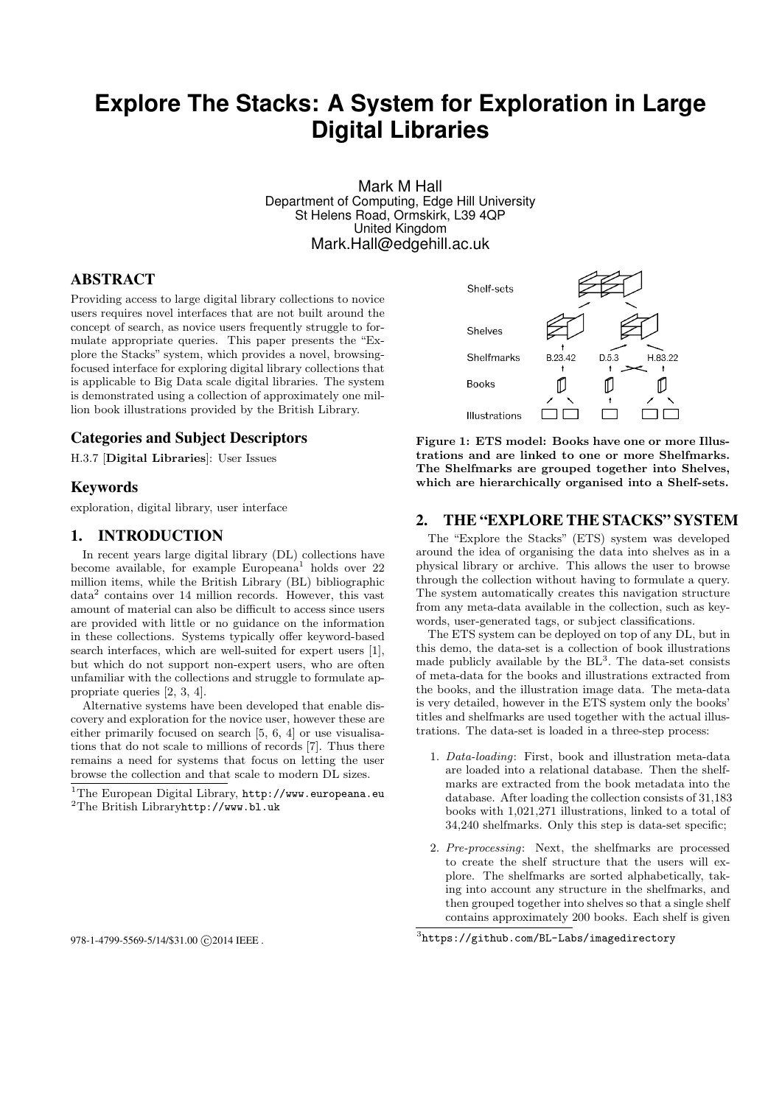# **Explore The Stacks: A System for Exploration in Large Digital Libraries**

Mark M Hall Department of Computing, Edge Hill University St Helens Road, Ormskirk, L39 4QP United Kingdom Mark.Hall@edgehill.ac.uk

# ABSTRACT

Providing access to large digital library collections to novice users requires novel interfaces that are not built around the concept of search, as novice users frequently struggle to formulate appropriate queries. This paper presents the "Explore the Stacks" system, which provides a novel, browsingfocused interface for exploring digital library collections that is applicable to Big Data scale digital libraries. The system is demonstrated using a collection of approximately one million book illustrations provided by the British Library.

# Categories and Subject Descriptors

H.3.7 [Digital Libraries]: User Issues

## Keywords

exploration, digital library, user interface

#### 1. INTRODUCTION

In recent years large digital library (DL) collections have become available, for example  $\text{European}^{1}$  holds over 22 million items, while the British Library (BL) bibliographic data<sup>2</sup> contains over 14 million records. However, this vast amount of material can also be difficult to access since users are provided with little or no guidance on the information in these collections. Systems typically offer keyword-based search interfaces, which are well-suited for expert users [1], but which do not support non-expert users, who are often unfamiliar with the collections and struggle to formulate appropriate queries [2, 3, 4].

Alternative systems have been developed that enable discovery and exploration for the novice user, however these are either primarily focused on search [5, 6, 4] or use visualisations that do not scale to millions of records [7]. Thus there remains a need for systems that focus on letting the user browse the collection and that scale to modern DL sizes.

978-1-4799-5569-5/14/\$31.00 C 2014 IEEE.



Figure 1: ETS model: Books have one or more Illustrations and are linked to one or more Shelfmarks. The Shelfmarks are grouped together into Shelves, which are hierarchically organised into a Shelf-sets.

#### 2. THE "EXPLORE THE STACKS" SYSTEM

The "Explore the Stacks" (ETS) system was developed around the idea of organising the data into shelves as in a physical library or archive. This allows the user to browse through the collection without having to formulate a query. The system automatically creates this navigation structure from any meta-data available in the collection, such as keywords, user-generated tags, or subject classifications.

The ETS system can be deployed on top of any DL, but in this demo, the data-set is a collection of book illustrations made publicly available by the  $BL^3$ . The data-set consists of meta-data for the books and illustrations extracted from the books, and the illustration image data. The meta-data is very detailed, however in the ETS system only the books' titles and shelfmarks are used together with the actual illustrations. The data-set is loaded in a three-step process:

- 1. Data-loading: First, book and illustration meta-data are loaded into a relational database. Then the shelfmarks are extracted from the book metadata into the database. After loading the collection consists of 31,183 books with 1,021,271 illustrations, linked to a total of 34,240 shelfmarks. Only this step is data-set specific;
- 2. Pre-processing: Next, the shelfmarks are processed to create the shelf structure that the users will explore. The shelfmarks are sorted alphabetically, taking into account any structure in the shelfmarks, and then grouped together into shelves so that a single shelf contains approximately 200 books. Each shelf is given

 $1$ The European Digital Library, http://www.europeana.eu <sup>2</sup>The British Libraryhttp://www.bl.uk

<sup>3</sup> https://github.com/BL-Labs/imagedirectory